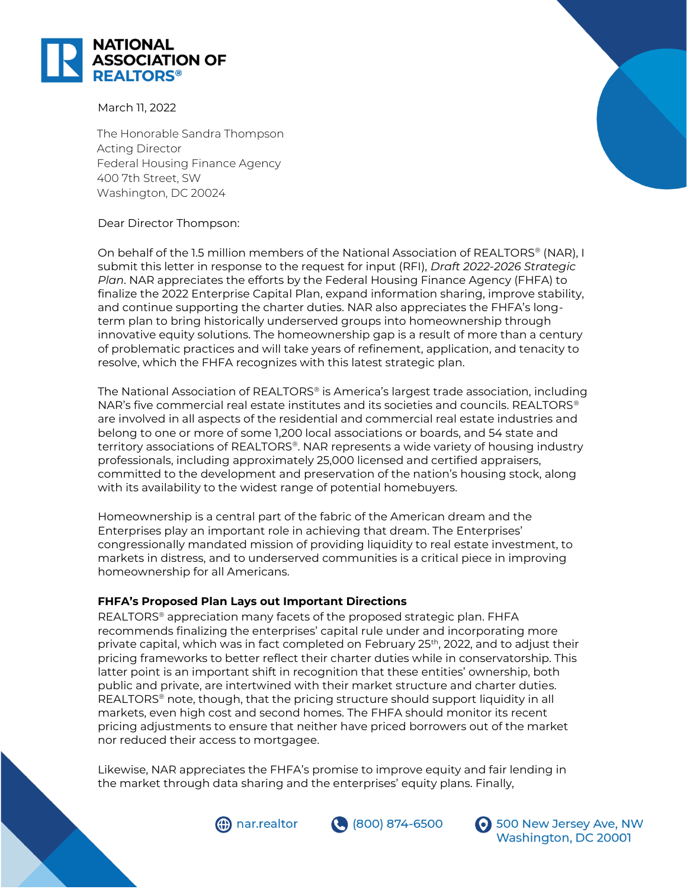

March 11, 2022

The Honorable Sandra Thompson Acting Director Federal Housing Finance Agency 400 7th Street, SW Washington, DC 20024

# Dear Director Thompson:

On behalf of the 1.5 million members of the National Association of REALTORS® (NAR), I submit this letter in response to the request for input (RFI), *Draft 2022-2026 Strategic Plan*. NAR appreciates the efforts by the Federal Housing Finance Agency (FHFA) to finalize the 2022 Enterprise Capital Plan, expand information sharing, improve stability, and continue supporting the charter duties. NAR also appreciates the FHFA's longterm plan to bring historically underserved groups into homeownership through innovative equity solutions. The homeownership gap is a result of more than a century of problematic practices and will take years of refinement, application, and tenacity to resolve, which the FHFA recognizes with this latest strategic plan.

The National Association of REALTORS® is America's largest trade association, including NAR's five commercial real estate institutes and its societies and councils. REALTORS® are involved in all aspects of the residential and commercial real estate industries and belong to one or more of some 1,200 local associations or boards, and 54 state and territory associations of REALTORS®. NAR represents a wide variety of housing industry professionals, including approximately 25,000 licensed and certified appraisers, committed to the development and preservation of the nation's housing stock, along with its availability to the widest range of potential homebuyers.

Homeownership is a central part of the fabric of the American dream and the Enterprises play an important role in achieving that dream. The Enterprises' congressionally mandated mission of providing liquidity to real estate investment, to markets in distress, and to underserved communities is a critical piece in improving homeownership for all Americans.

# **FHFA's Proposed Plan Lays out Important Directions**

REALTORS® appreciation many facets of the proposed strategic plan. FHFA recommends finalizing the enterprises' capital rule under and incorporating more private capital, which was in fact completed on February 25<sup>th</sup>, 2022, and to adjust their pricing frameworks to better reflect their charter duties while in conservatorship. This latter point is an important shift in recognition that these entities' ownership, both public and private, are intertwined with their market structure and charter duties. REALTORS® note, though, that the pricing structure should support liquidity in all markets, even high cost and second homes. The FHFA should monitor its recent pricing adjustments to ensure that neither have priced borrowers out of the market nor reduced their access to mortgagee.

Likewise, NAR appreciates the FHFA's promise to improve equity and fair lending in the market through data sharing and the enterprises' equity plans. Finally,







**6** 500 New Jersey Ave, NW Washington, DC 20001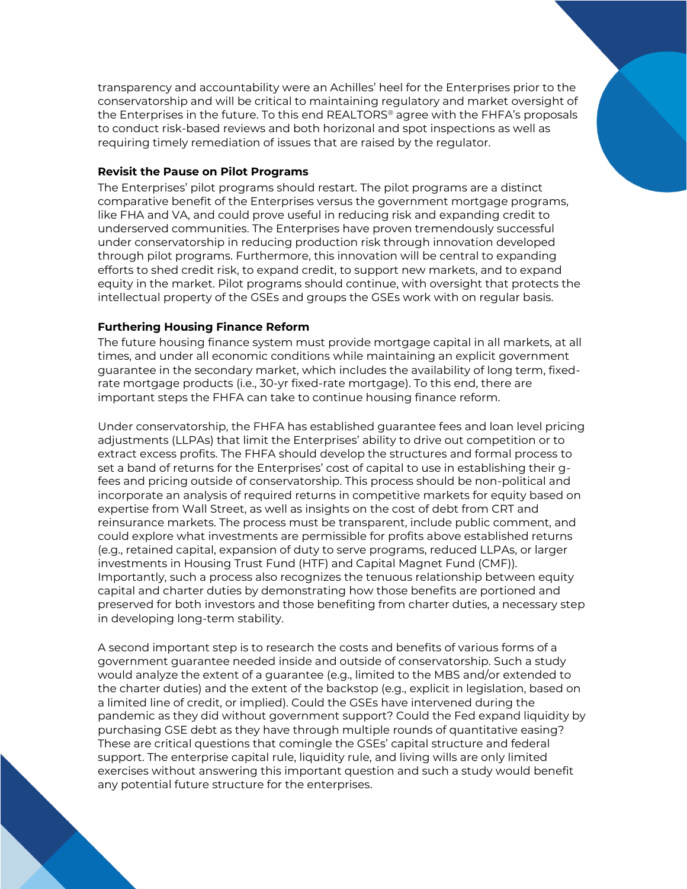transparency and accountability were an Achilles' heel for the Enterprises prior to the conservatorship and will be critical to maintaining regulatory and market oversight of the Enterprises in the future. To this end REALTORS® agree with the FHFA's proposals to conduct risk-based reviews and both horizonal and spot inspections as well as requiring timely remediation of issues that are raised by the regulator.

#### **Revisit the Pause on Pilot Programs**

The Enterprises' pilot programs should restart. The pilot programs are a distinct comparative benefit of the Enterprises versus the government mortgage programs, like FHA and VA, and could prove useful in reducing risk and expanding credit to underserved communities. The Enterprises have proven tremendously successful under conservatorship in reducing production risk through innovation developed through pilot programs. Furthermore, this innovation will be central to expanding efforts to shed credit risk, to expand credit, to support new markets, and to expand equity in the market. Pilot programs should continue, with oversight that protects the intellectual property of the GSEs and groups the GSEs work with on regular basis.

# **Furthering Housing Finance Reform**

The future housing finance system must provide mortgage capital in all markets, at all times, and under all economic conditions while maintaining an explicit government guarantee in the secondary market, which includes the availability of long term, fixedrate mortgage products (i.e., 30-yr fixed-rate mortgage). To this end, there are important steps the FHFA can take to continue housing finance reform.

Under conservatorship, the FHFA has established guarantee fees and loan level pricing adjustments (LLPAs) that limit the Enterprises' ability to drive out competition or to extract excess profits. The FHFA should develop the structures and formal process to set a band of returns for the Enterprises' cost of capital to use in establishing their gfees and pricing outside of conservatorship. This process should be non-political and incorporate an analysis of required returns in competitive markets for equity based on expertise from Wall Street, as well as insights on the cost of debt from CRT and reinsurance markets. The process must be transparent, include public comment, and could explore what investments are permissible for profits above established returns (e.g., retained capital, expansion of duty to serve programs, reduced LLPAs, or larger investments in Housing Trust Fund (HTF) and Capital Magnet Fund (CMF)). Importantly, such a process also recognizes the tenuous relationship between equity capital and charter duties by demonstrating how those benefits are portioned and preserved for both investors and those benefiting from charter duties, a necessary step in developing long-term stability.

A second important step is to research the costs and benefits of various forms of a government guarantee needed inside and outside of conservatorship. Such a study would analyze the extent of a guarantee (e.g., limited to the MBS and/or extended to the charter duties) and the extent of the backstop (e.g., explicit in legislation, based on a limited line of credit, or implied). Could the GSEs have intervened during the pandemic as they did without government support? Could the Fed expand liquidity by purchasing GSE debt as they have through multiple rounds of quantitative easing? These are critical questions that comingle the GSEs' capital structure and federal support. The enterprise capital rule, liquidity rule, and living wills are only limited exercises without answering this important question and such a study would benefit any potential future structure for the enterprises.